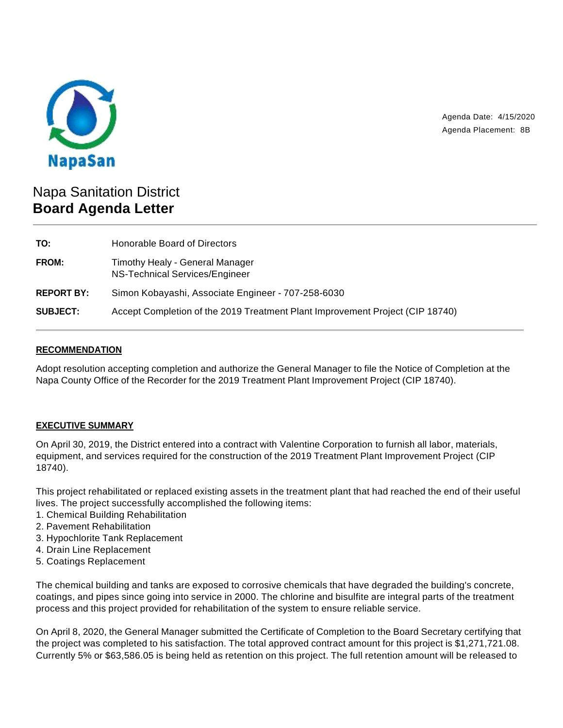

Agenda Date: 4/15/2020 Agenda Placement: 8B

# Napa Sanitation District **Board Agenda Letter**

| TO:               | Honorable Board of Directors                                                  |
|-------------------|-------------------------------------------------------------------------------|
| <b>FROM:</b>      | Timothy Healy - General Manager<br>NS-Technical Services/Engineer             |
| <b>REPORT BY:</b> | Simon Kobayashi, Associate Engineer - 707-258-6030                            |
| <b>SUBJECT:</b>   | Accept Completion of the 2019 Treatment Plant Improvement Project (CIP 18740) |

# **RECOMMENDATION**

Adopt resolution accepting completion and authorize the General Manager to file the Notice of Completion at the Napa County Office of the Recorder for the 2019 Treatment Plant Improvement Project (CIP 18740).

# **EXECUTIVE SUMMARY**

On April 30, 2019, the District entered into a contract with Valentine Corporation to furnish all labor, materials, equipment, and services required for the construction of the 2019 Treatment Plant Improvement Project (CIP 18740).

This project rehabilitated or replaced existing assets in the treatment plant that had reached the end of their useful lives. The project successfully accomplished the following items:

- 1. Chemical Building Rehabilitation
- 2. Pavement Rehabilitation
- 3. Hypochlorite Tank Replacement
- 4. Drain Line Replacement
- 5. Coatings Replacement

The chemical building and tanks are exposed to corrosive chemicals that have degraded the building's concrete, coatings, and pipes since going into service in 2000. The chlorine and bisulfite are integral parts of the treatment process and this project provided for rehabilitation of the system to ensure reliable service.

On April 8, 2020, the General Manager submitted the Certificate of Completion to the Board Secretary certifying that the project was completed to his satisfaction. The total approved contract amount for this project is \$1,271,721.08. Currently 5% or \$63,586.05 is being held as retention on this project. The full retention amount will be released to